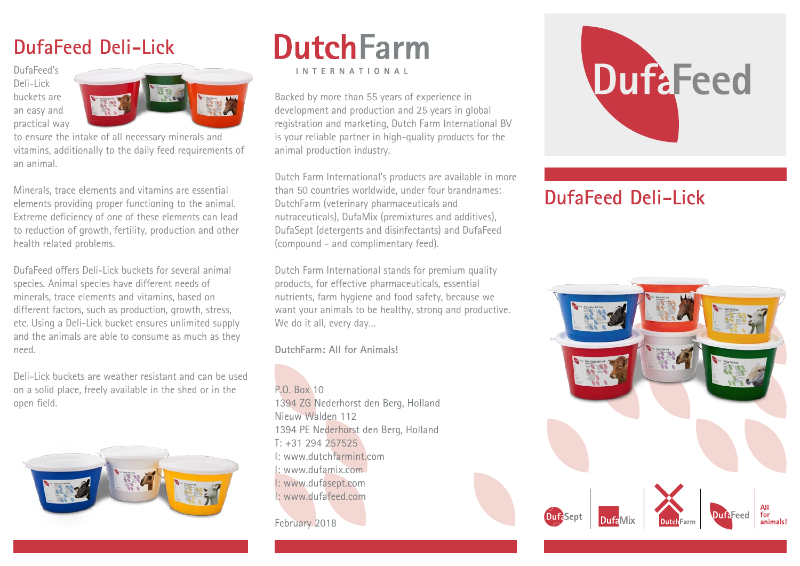# **DufaFeed Deli-Lick**

DufaFeed's Deli-Lick buckets are an easy and practical way



to ensure the intake of all necessary minerals and vitamins, additionally to the daily feed requirements of an animal.

Minerals, trace elements and vitamins are essential elements providing proper functioning to the animal. Extreme deficiency of one of these elements can lead to reduction of growth, fertility, production and other health related problems.

DufaFeed offers Deli-Lick buckets for several animal species. Animal species have different needs of minerals, trace elements and vitamins, based on different factors, such as production, growth, stress, etc. Using a Deli-Lick bucket ensures unlimited supply and the animals are able to consume as much as they need.

Deli-Lick buckets are weather resistant and can be used on a solid place, freely available in the shed or in the open field.



# **DutchFarm** INTERNATIONAL

Backed by more than 55 years of experience in development and production and 25 years in global registration and marketing, Dutch Farm International BV is your reliable partner in high-quality products for the animal production industry.

Dutch Farm International's products are available in more than 50 countries worldwide, under four brandnames: DutchFarm (veterinary pharmaceuticals and nutraceuticals), DufaMix (premixtures and additives), DufaSept (detergents and disinfectants) and DufaFeed (compound - and complimentary feed).

Dutch Farm International stands for premium quality products, for effective pharmaceuticals, essential nutrients, farm hygiene and food safety, because we want your animals to be healthy, strong and productive. We do it all, every day…

**DutchFarm: All for Animals!**

P.O. Box 10 1394 ZG Nederhorst den Berg, Holland Nieuw Walden 112 1394 PE Nederhorst den Berg, Holland T: +31 294 257525 I: www.dutchfarmint.com I: www.dufamix.com I: www.dufasept.com I: www.dufafeed.com

## February 2018

# **DuftFeed**

# **DufaFeed Deli-Lick**